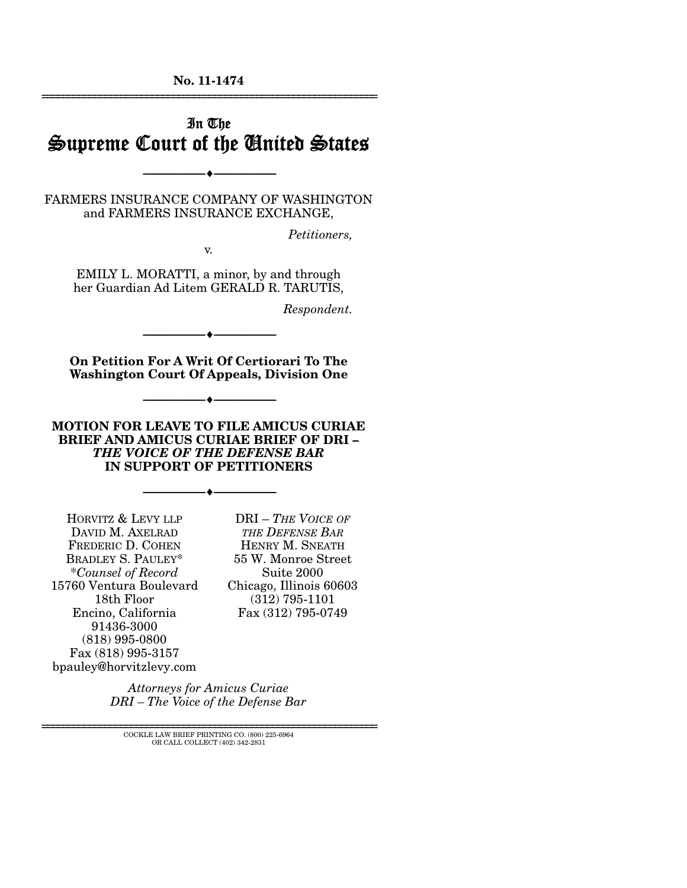**No. 11-1474**  ================================================================

## In The Supreme Court of the United States

FARMERS INSURANCE COMPANY OF WASHINGTON and FARMERS INSURANCE EXCHANGE,

--------------------------------- ---------------------------------

*Petitioners,* 

EMILY L. MORATTI, a minor, by and through her Guardian Ad Litem GERALD R. TARUTIS,

v.

*Respondent.* 

**On Petition For A Writ Of Certiorari To The Washington Court Of Appeals, Division One** 

--------------------------------- ---------------------------------

--------------------------------- ---------------------------------

**MOTION FOR LEAVE TO FILE AMICUS CURIAE BRIEF AND AMICUS CURIAE BRIEF OF DRI –**  *THE VOICE OF THE DEFENSE BAR* **IN SUPPORT OF PETITIONERS** 

--------------------------------- ---------------------------------

HORVITZ & LEVY LLP DAVID M. AXELRAD FREDERIC D. COHEN BRADLEY S. PAULEY\* \**Counsel of Record* 15760 Ventura Boulevard 18th Floor Encino, California 91436-3000 (818) 995-0800 Fax (818) 995-3157 bpauley@horvitzlevy.com

DRI – *THE VOICE OF THE DEFENSE BAR* HENRY M. SNEATH 55 W. Monroe Street Suite 2000 Chicago, Illinois 60603 (312) 795-1101 Fax (312) 795-0749

*Attorneys for Amicus Curiae DRI – The Voice of the Defense Bar* 

 $\rm COCKLE$  LAW BRIEF PRINTING CO.  $(800)$  225-6964 OR CALL COLLECT (402) 342-2831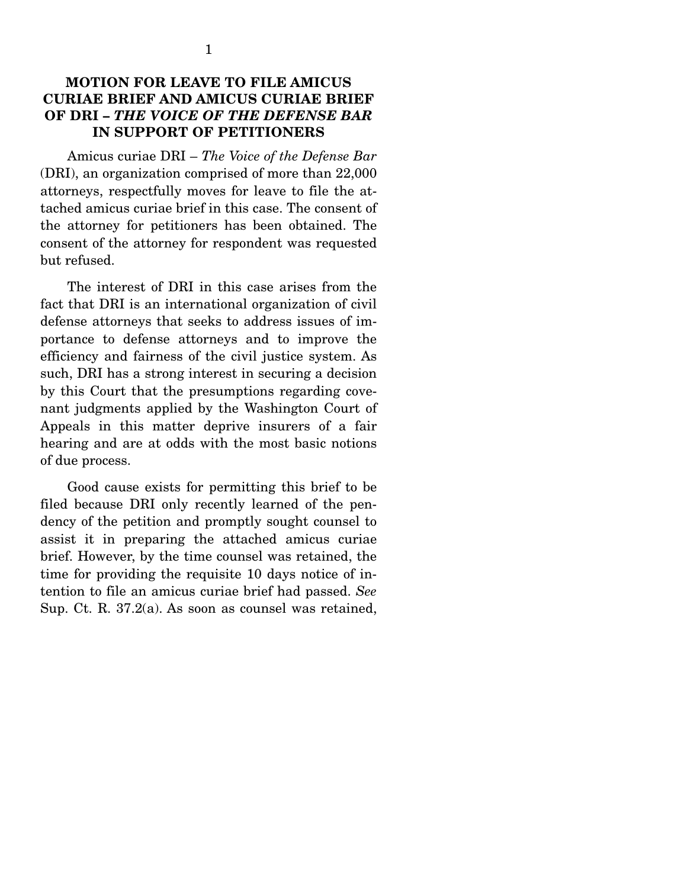### **MOTION FOR LEAVE TO FILE AMICUS CURIAE BRIEF AND AMICUS CURIAE BRIEF OF DRI –** *THE VOICE OF THE DEFENSE BAR* **IN SUPPORT OF PETITIONERS**

Amicus curiae DRI – *The Voice of the Defense Bar* (DRI), an organization comprised of more than 22,000 attorneys, respectfully moves for leave to file the attached amicus curiae brief in this case. The consent of the attorney for petitioners has been obtained. The consent of the attorney for respondent was requested but refused.

 The interest of DRI in this case arises from the fact that DRI is an international organization of civil defense attorneys that seeks to address issues of importance to defense attorneys and to improve the efficiency and fairness of the civil justice system. As such, DRI has a strong interest in securing a decision by this Court that the presumptions regarding covenant judgments applied by the Washington Court of Appeals in this matter deprive insurers of a fair hearing and are at odds with the most basic notions of due process.

 Good cause exists for permitting this brief to be filed because DRI only recently learned of the pendency of the petition and promptly sought counsel to assist it in preparing the attached amicus curiae brief. However, by the time counsel was retained, the time for providing the requisite 10 days notice of intention to file an amicus curiae brief had passed. *See* Sup. Ct. R. 37.2(a). As soon as counsel was retained,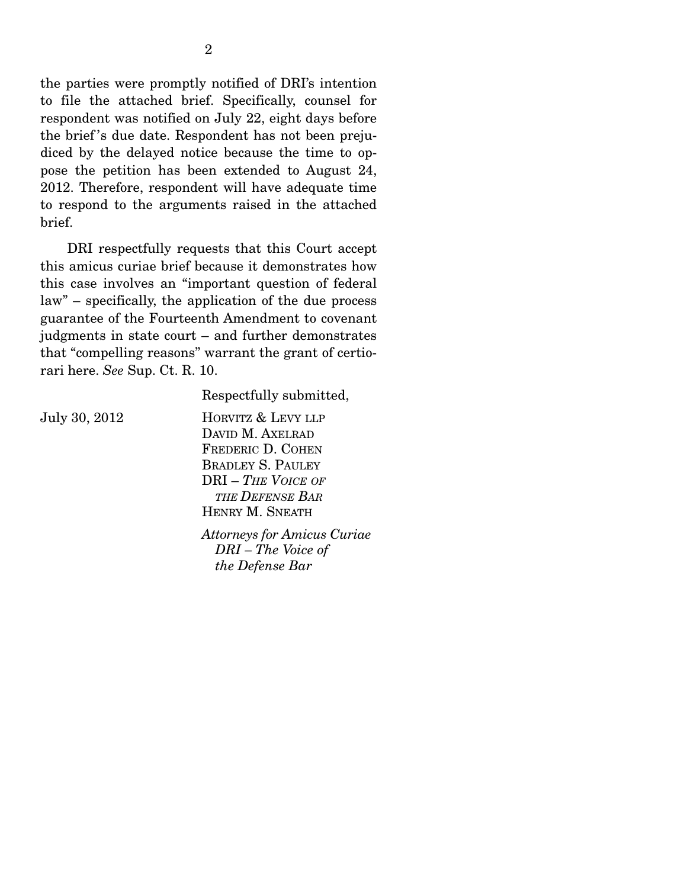the parties were promptly notified of DRI's intention to file the attached brief. Specifically, counsel for respondent was notified on July 22, eight days before the brief 's due date. Respondent has not been prejudiced by the delayed notice because the time to oppose the petition has been extended to August 24, 2012. Therefore, respondent will have adequate time to respond to the arguments raised in the attached brief.

 DRI respectfully requests that this Court accept this amicus curiae brief because it demonstrates how this case involves an "important question of federal law" – specifically, the application of the due process guarantee of the Fourteenth Amendment to covenant judgments in state court – and further demonstrates that "compelling reasons" warrant the grant of certiorari here. *See* Sup. Ct. R. 10.

Respectfully submitted,

| July 30, 2012 | HORVITZ & LEVY LLP                 |
|---------------|------------------------------------|
|               | DAVID M. AXELRAD                   |
|               | FREDERIC D. COHEN                  |
|               | <b>BRADLEY S. PAULEY</b>           |
|               | $DRI - THE VOICE OF$               |
|               | <b>THE DEFENSE BAR</b>             |
|               | HENRY M. SNEATH                    |
|               | <b>Attorneys for Amicus Curiae</b> |
|               | $DRI$ – The Voice of               |
|               | the Defense Bar                    |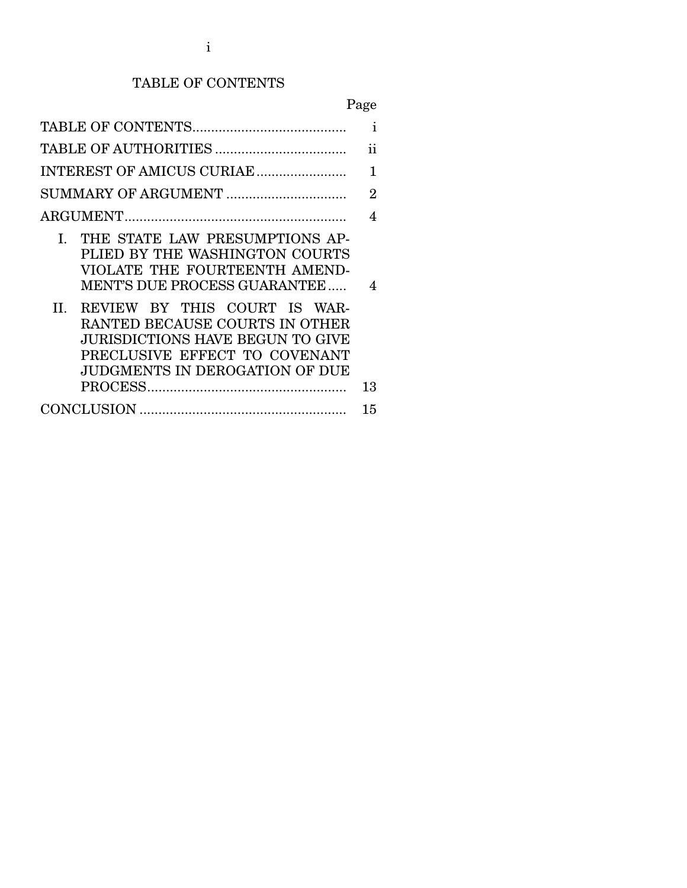# TABLE OF CONTENTS

# Page

|                                                                                                                                                                                                                                                                                                                   | Ť              |
|-------------------------------------------------------------------------------------------------------------------------------------------------------------------------------------------------------------------------------------------------------------------------------------------------------------------|----------------|
|                                                                                                                                                                                                                                                                                                                   | $\mathbf{11}$  |
| INTEREST OF AMICUS CURIAE                                                                                                                                                                                                                                                                                         | 1              |
| SUMMARY OF ARGUMENT                                                                                                                                                                                                                                                                                               | $\overline{2}$ |
|                                                                                                                                                                                                                                                                                                                   | 4              |
| I. THE STATE LAW PRESUMPTIONS AP-<br>PLIED BY THE WASHINGTON COURTS<br>VIOLATE THE FOURTEENTH AMEND-<br>MENT'S DUE PROCESS GUARANTEE<br>II. REVIEW BY THIS COURT IS WAR-<br>RANTED BECAUSE COURTS IN OTHER<br>JURISDICTIONS HAVE BEGUN TO GIVE<br>PRECLUSIVE EFFECT TO COVENANT<br>JUDGMENTS IN DEROGATION OF DUE | 4<br>13        |
|                                                                                                                                                                                                                                                                                                                   | 15             |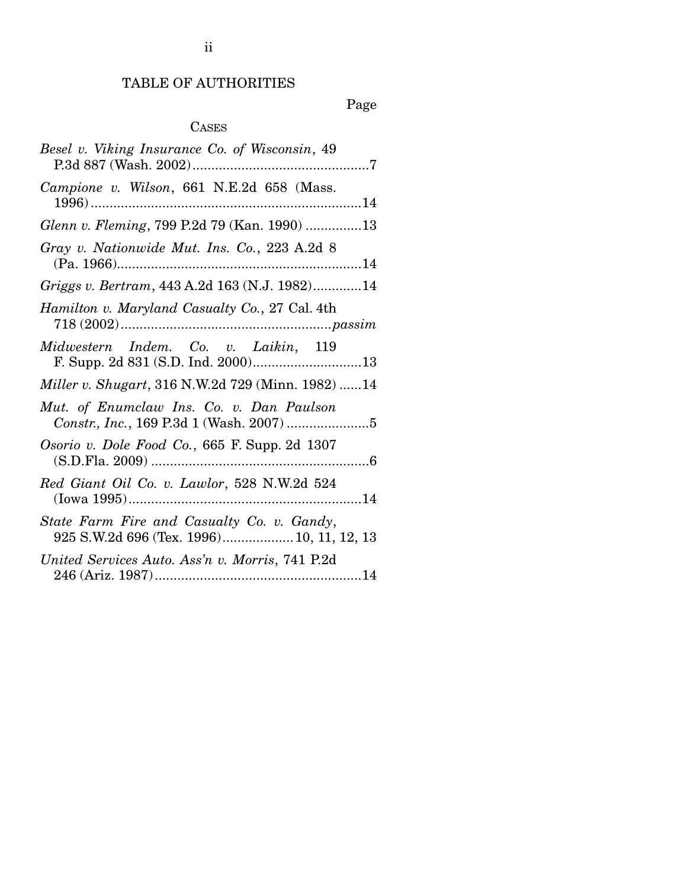# TABLE OF AUTHORITIES

# Page

# CASES

| Besel v. Viking Insurance Co. of Wisconsin, 49                                          |
|-----------------------------------------------------------------------------------------|
| Campione v. Wilson, 661 N.E.2d 658 (Mass.                                               |
| Glenn v. Fleming, 799 P.2d 79 (Kan. 1990) 13                                            |
| Gray v. Nationwide Mut. Ins. Co., 223 A.2d 8                                            |
| Griggs v. Bertram, 443 A.2d 163 (N.J. 1982)14                                           |
| Hamilton v. Maryland Casualty Co., 27 Cal. 4th                                          |
| Midwestern Indem. Co. v. Laikin, 119                                                    |
| <i>Miller v. Shugart, 316 N.W.2d 729 (Minn. 1982) 14</i>                                |
| Mut. of Enumclaw Ins. Co. v. Dan Paulson                                                |
| Osorio v. Dole Food Co., 665 F. Supp. 2d 1307                                           |
| Red Giant Oil Co. v. Lawlor, 528 N.W.2d 524                                             |
| State Farm Fire and Casualty Co. v. Gandy,<br>925 S.W.2d 696 (Tex. 1996) 10, 11, 12, 13 |
| United Services Auto. Ass'n v. Morris, 741 P.2d                                         |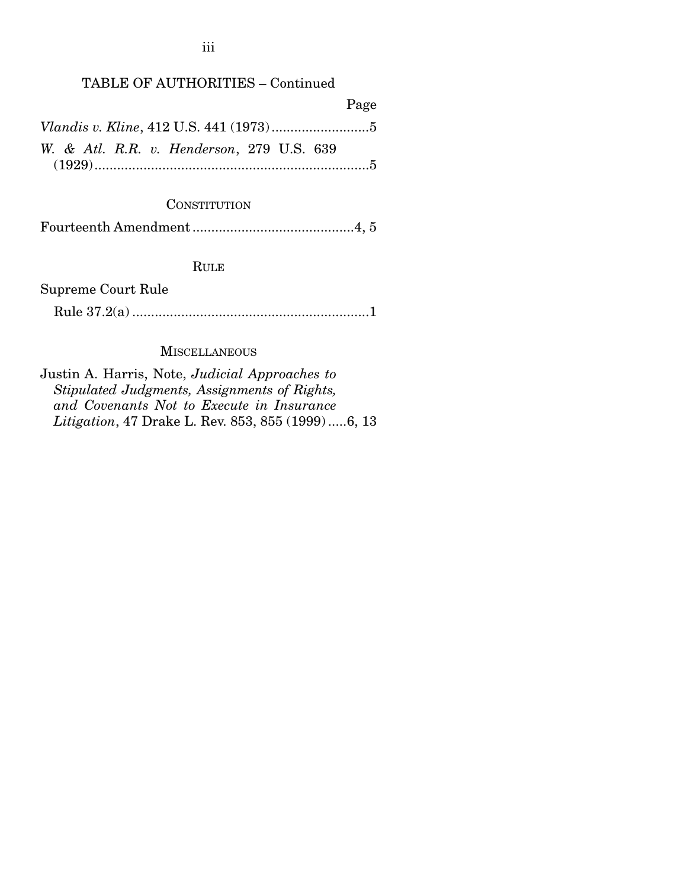### TABLE OF AUTHORITIES – Continued

Page *Vlandis v. Kline*, 412 U.S. 441 (1973) .......................... 5 *W. & Atl. R.R. v. Henderson*, 279 U.S. 639 (1929) ......................................................................... 5

#### **CONSTITUTION**

Fourteenth Amendment ........................................... 4, 5

#### RULE

Supreme Court Rule

Rule 37.2(a) ............................................................... 1

#### **MISCELLANEOUS**

Justin A. Harris, Note, *Judicial Approaches to Stipulated Judgments, Assignments of Rights, and Covenants Not to Execute in Insurance*  Litigation, 47 Drake L. Rev. 853, 855 (1999) ..... 6, 13

iii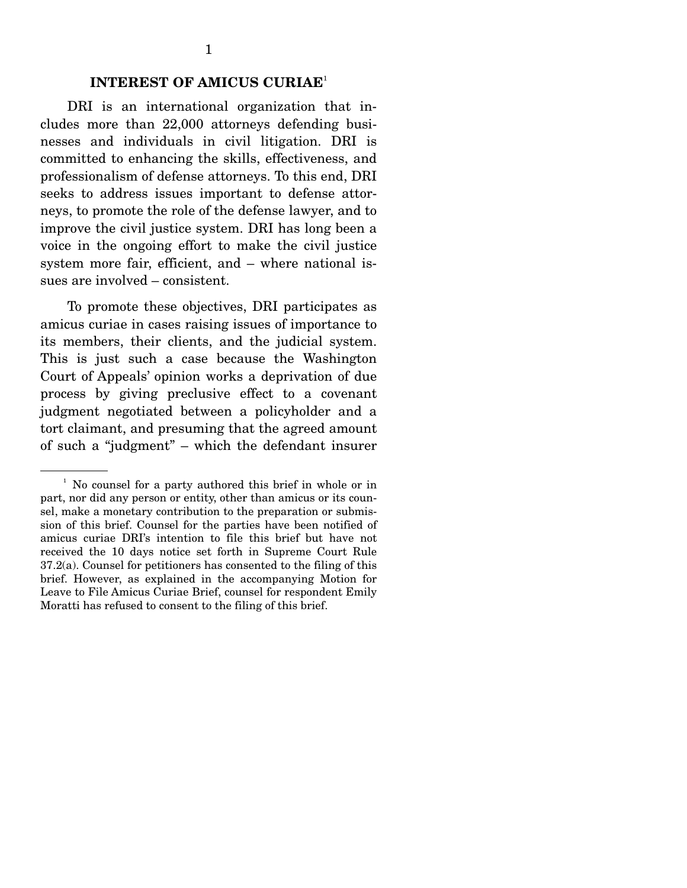### **INTEREST OF AMICUS CURIAE**<sup>1</sup>

 DRI is an international organization that includes more than 22,000 attorneys defending businesses and individuals in civil litigation. DRI is committed to enhancing the skills, effectiveness, and professionalism of defense attorneys. To this end, DRI seeks to address issues important to defense attorneys, to promote the role of the defense lawyer, and to improve the civil justice system. DRI has long been a voice in the ongoing effort to make the civil justice system more fair, efficient, and – where national issues are involved – consistent.

 To promote these objectives, DRI participates as amicus curiae in cases raising issues of importance to its members, their clients, and the judicial system. This is just such a case because the Washington Court of Appeals' opinion works a deprivation of due process by giving preclusive effect to a covenant judgment negotiated between a policyholder and a tort claimant, and presuming that the agreed amount of such a "judgment" – which the defendant insurer

<sup>&</sup>lt;sup>1</sup> No counsel for a party authored this brief in whole or in part, nor did any person or entity, other than amicus or its counsel, make a monetary contribution to the preparation or submission of this brief. Counsel for the parties have been notified of amicus curiae DRI's intention to file this brief but have not received the 10 days notice set forth in Supreme Court Rule 37.2(a). Counsel for petitioners has consented to the filing of this brief. However, as explained in the accompanying Motion for Leave to File Amicus Curiae Brief, counsel for respondent Emily Moratti has refused to consent to the filing of this brief.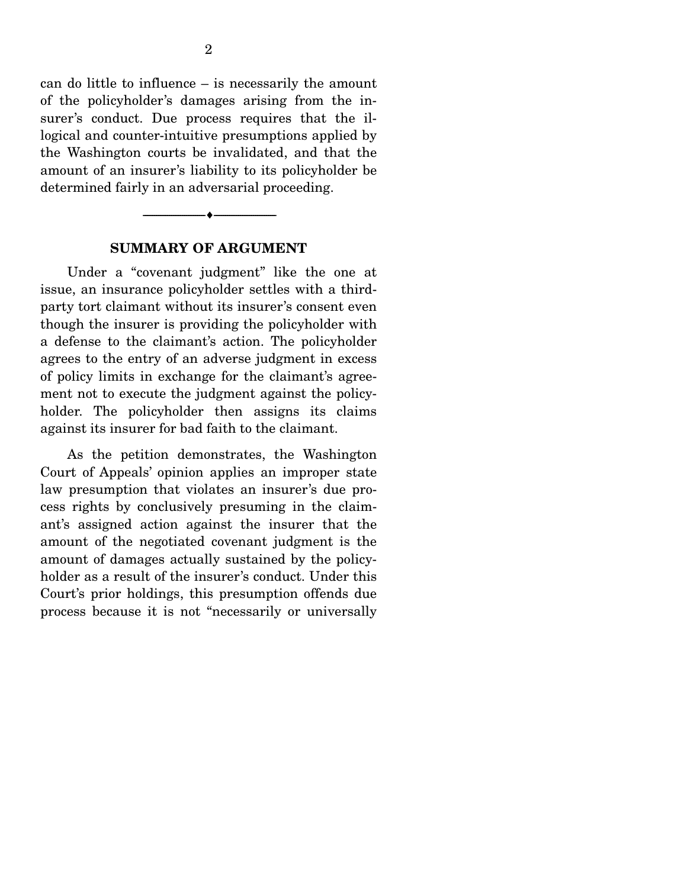can do little to influence – is necessarily the amount of the policyholder's damages arising from the insurer's conduct. Due process requires that the illogical and counter-intuitive presumptions applied by the Washington courts be invalidated, and that the amount of an insurer's liability to its policyholder be determined fairly in an adversarial proceeding.

#### **SUMMARY OF ARGUMENT**

--------------------------------- ---------------------------------

 Under a "covenant judgment" like the one at issue, an insurance policyholder settles with a thirdparty tort claimant without its insurer's consent even though the insurer is providing the policyholder with a defense to the claimant's action. The policyholder agrees to the entry of an adverse judgment in excess of policy limits in exchange for the claimant's agreement not to execute the judgment against the policyholder. The policyholder then assigns its claims against its insurer for bad faith to the claimant.

 As the petition demonstrates, the Washington Court of Appeals' opinion applies an improper state law presumption that violates an insurer's due process rights by conclusively presuming in the claimant's assigned action against the insurer that the amount of the negotiated covenant judgment is the amount of damages actually sustained by the policyholder as a result of the insurer's conduct. Under this Court's prior holdings, this presumption offends due process because it is not "necessarily or universally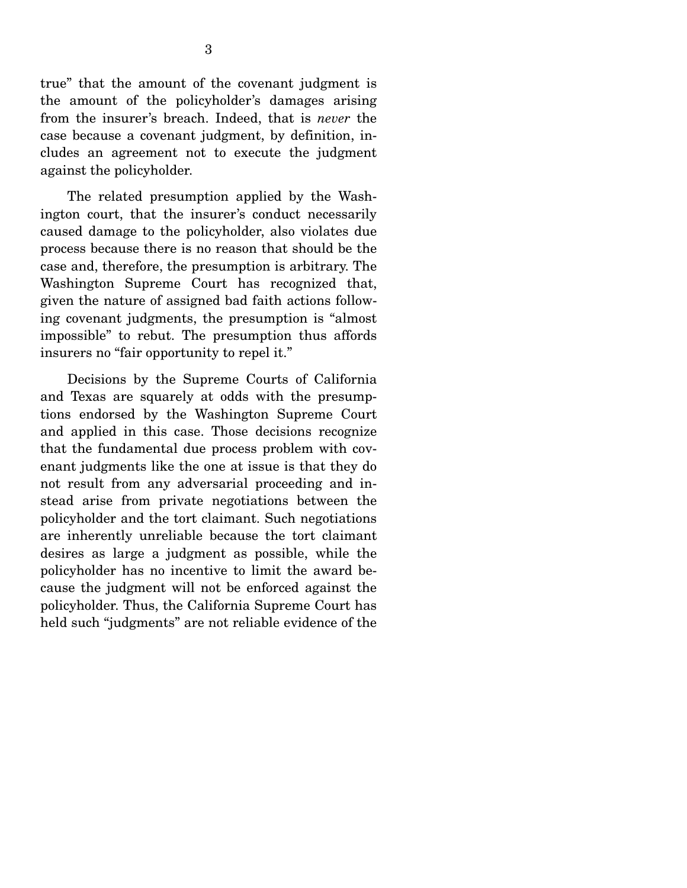true" that the amount of the covenant judgment is the amount of the policyholder's damages arising from the insurer's breach. Indeed, that is *never* the case because a covenant judgment, by definition, includes an agreement not to execute the judgment against the policyholder.

 The related presumption applied by the Washington court, that the insurer's conduct necessarily caused damage to the policyholder, also violates due process because there is no reason that should be the case and, therefore, the presumption is arbitrary. The Washington Supreme Court has recognized that, given the nature of assigned bad faith actions following covenant judgments, the presumption is "almost impossible" to rebut. The presumption thus affords insurers no "fair opportunity to repel it."

 Decisions by the Supreme Courts of California and Texas are squarely at odds with the presumptions endorsed by the Washington Supreme Court and applied in this case. Those decisions recognize that the fundamental due process problem with covenant judgments like the one at issue is that they do not result from any adversarial proceeding and instead arise from private negotiations between the policyholder and the tort claimant. Such negotiations are inherently unreliable because the tort claimant desires as large a judgment as possible, while the policyholder has no incentive to limit the award because the judgment will not be enforced against the policyholder. Thus, the California Supreme Court has held such "judgments" are not reliable evidence of the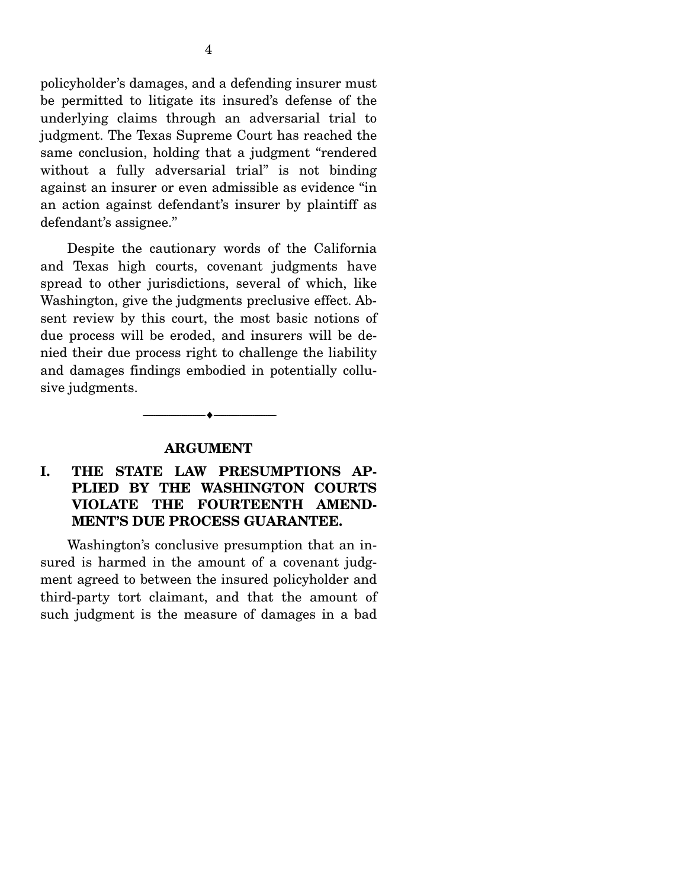policyholder's damages, and a defending insurer must be permitted to litigate its insured's defense of the underlying claims through an adversarial trial to judgment. The Texas Supreme Court has reached the same conclusion, holding that a judgment "rendered without a fully adversarial trial" is not binding against an insurer or even admissible as evidence "in an action against defendant's insurer by plaintiff as defendant's assignee."

 Despite the cautionary words of the California and Texas high courts, covenant judgments have spread to other jurisdictions, several of which, like Washington, give the judgments preclusive effect. Absent review by this court, the most basic notions of due process will be eroded, and insurers will be denied their due process right to challenge the liability and damages findings embodied in potentially collusive judgments.

#### **ARGUMENT**

--------------------------------- ---------------------------------

## **I. THE STATE LAW PRESUMPTIONS AP-PLIED BY THE WASHINGTON COURTS VIOLATE THE FOURTEENTH AMEND-MENT'S DUE PROCESS GUARANTEE.**

 Washington's conclusive presumption that an insured is harmed in the amount of a covenant judgment agreed to between the insured policyholder and third-party tort claimant, and that the amount of such judgment is the measure of damages in a bad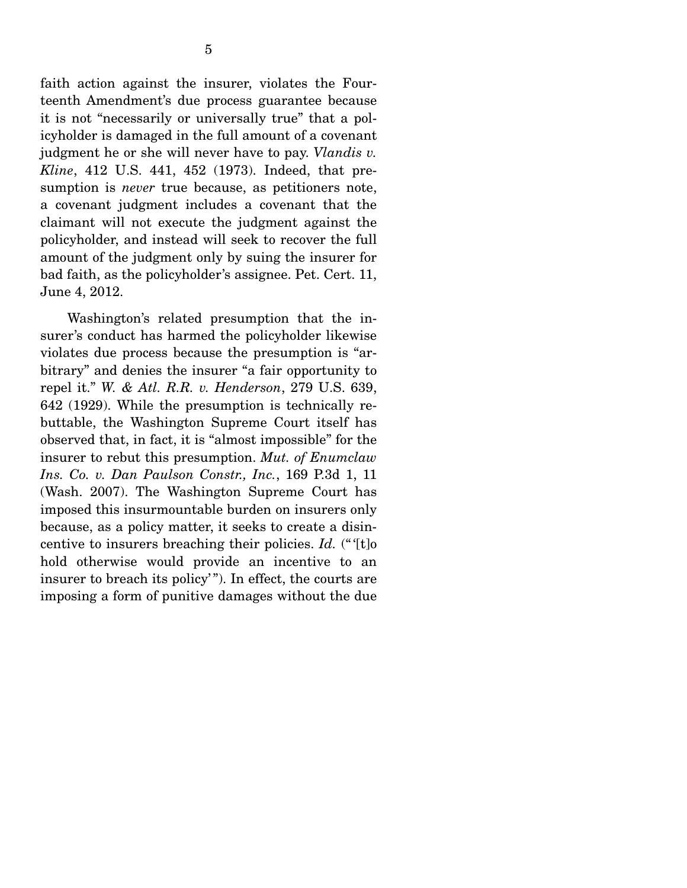faith action against the insurer, violates the Fourteenth Amendment's due process guarantee because it is not "necessarily or universally true" that a policyholder is damaged in the full amount of a covenant judgment he or she will never have to pay. *Vlandis v. Kline*, 412 U.S. 441, 452 (1973). Indeed, that presumption is *never* true because, as petitioners note, a covenant judgment includes a covenant that the claimant will not execute the judgment against the policyholder, and instead will seek to recover the full amount of the judgment only by suing the insurer for bad faith, as the policyholder's assignee. Pet. Cert. 11, June 4, 2012.

 Washington's related presumption that the insurer's conduct has harmed the policyholder likewise violates due process because the presumption is "arbitrary" and denies the insurer "a fair opportunity to repel it." *W. & Atl. R.R. v. Henderson*, 279 U.S. 639, 642 (1929). While the presumption is technically rebuttable, the Washington Supreme Court itself has observed that, in fact, it is "almost impossible" for the insurer to rebut this presumption. *Mut. of Enumclaw Ins. Co. v. Dan Paulson Constr., Inc.*, 169 P.3d 1, 11 (Wash. 2007). The Washington Supreme Court has imposed this insurmountable burden on insurers only because, as a policy matter, it seeks to create a disincentive to insurers breaching their policies. *Id.* (" '[t]o hold otherwise would provide an incentive to an insurer to breach its policy' "). In effect, the courts are imposing a form of punitive damages without the due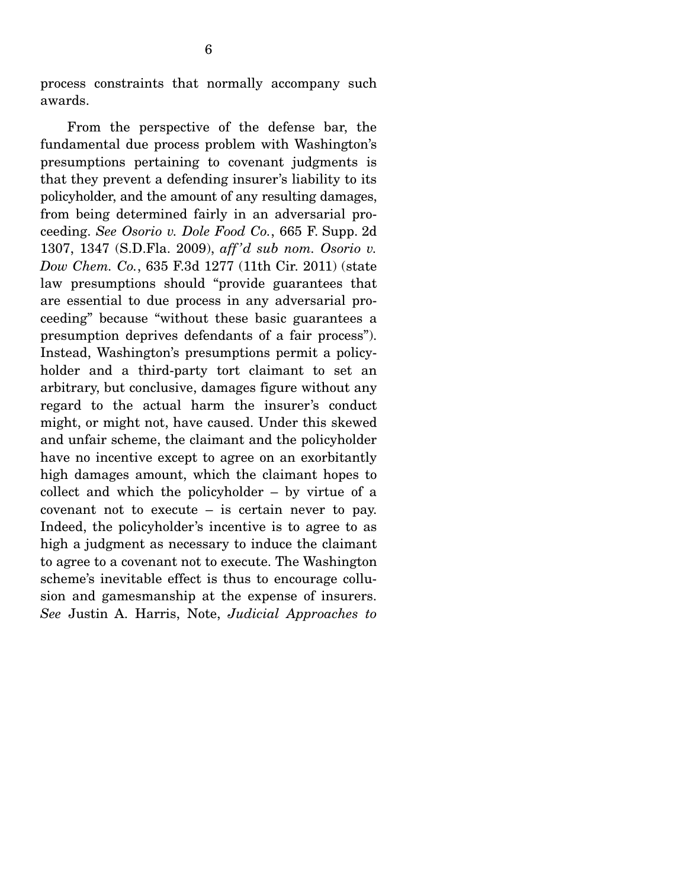process constraints that normally accompany such awards.

 From the perspective of the defense bar, the fundamental due process problem with Washington's presumptions pertaining to covenant judgments is that they prevent a defending insurer's liability to its policyholder, and the amount of any resulting damages, from being determined fairly in an adversarial proceeding. *See Osorio v. Dole Food Co.*, 665 F. Supp. 2d 1307, 1347 (S.D.Fla. 2009), *aff 'd sub nom. Osorio v. Dow Chem. Co.*, 635 F.3d 1277 (11th Cir. 2011) (state law presumptions should "provide guarantees that are essential to due process in any adversarial proceeding" because "without these basic guarantees a presumption deprives defendants of a fair process"). Instead, Washington's presumptions permit a policyholder and a third-party tort claimant to set an arbitrary, but conclusive, damages figure without any regard to the actual harm the insurer's conduct might, or might not, have caused. Under this skewed and unfair scheme, the claimant and the policyholder have no incentive except to agree on an exorbitantly high damages amount, which the claimant hopes to collect and which the policyholder – by virtue of a covenant not to execute – is certain never to pay. Indeed, the policyholder's incentive is to agree to as high a judgment as necessary to induce the claimant to agree to a covenant not to execute. The Washington scheme's inevitable effect is thus to encourage collusion and gamesmanship at the expense of insurers. *See* Justin A. Harris, Note, *Judicial Approaches to*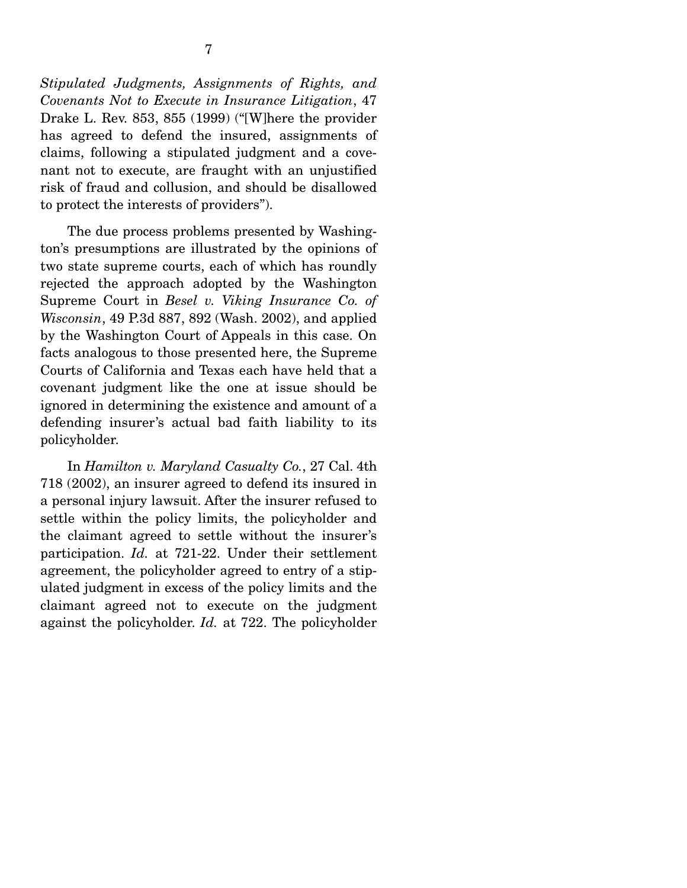*Stipulated Judgments, Assignments of Rights, and Covenants Not to Execute in Insurance Litigation*, 47 Drake L. Rev. 853, 855 (1999) ("[W]here the provider has agreed to defend the insured, assignments of claims, following a stipulated judgment and a covenant not to execute, are fraught with an unjustified risk of fraud and collusion, and should be disallowed to protect the interests of providers").

 The due process problems presented by Washington's presumptions are illustrated by the opinions of two state supreme courts, each of which has roundly rejected the approach adopted by the Washington Supreme Court in *Besel v. Viking Insurance Co. of Wisconsin*, 49 P.3d 887, 892 (Wash. 2002), and applied by the Washington Court of Appeals in this case. On facts analogous to those presented here, the Supreme Courts of California and Texas each have held that a covenant judgment like the one at issue should be ignored in determining the existence and amount of a defending insurer's actual bad faith liability to its policyholder.

 In *Hamilton v. Maryland Casualty Co.*, 27 Cal. 4th 718 (2002), an insurer agreed to defend its insured in a personal injury lawsuit. After the insurer refused to settle within the policy limits, the policyholder and the claimant agreed to settle without the insurer's participation. *Id.* at 721-22. Under their settlement agreement, the policyholder agreed to entry of a stipulated judgment in excess of the policy limits and the claimant agreed not to execute on the judgment against the policyholder. *Id.* at 722. The policyholder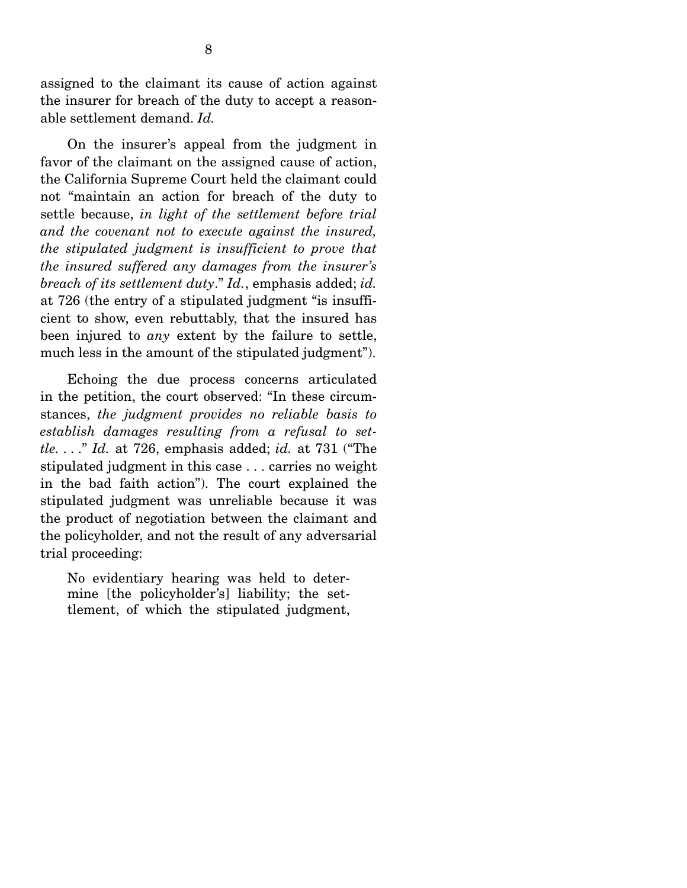assigned to the claimant its cause of action against the insurer for breach of the duty to accept a reasonable settlement demand. *Id.*

 On the insurer's appeal from the judgment in favor of the claimant on the assigned cause of action, the California Supreme Court held the claimant could not "maintain an action for breach of the duty to settle because, *in light of the settlement before trial and the covenant not to execute against the insured, the stipulated judgment is insufficient to prove that the insured suffered any damages from the insurer's breach of its settlement duty*." *Id.*, emphasis added; *id.* at 726 (the entry of a stipulated judgment "is insufficient to show, even rebuttably, that the insured has been injured to *any* extent by the failure to settle, much less in the amount of the stipulated judgment").

 Echoing the due process concerns articulated in the petition, the court observed: "In these circumstances, *the judgment provides no reliable basis to establish damages resulting from a refusal to settle.* . . ." *Id.* at 726, emphasis added; *id.* at 731 ("The stipulated judgment in this case . . . carries no weight in the bad faith action"). The court explained the stipulated judgment was unreliable because it was the product of negotiation between the claimant and the policyholder, and not the result of any adversarial trial proceeding:

No evidentiary hearing was held to determine [the policyholder's] liability; the settlement, of which the stipulated judgment,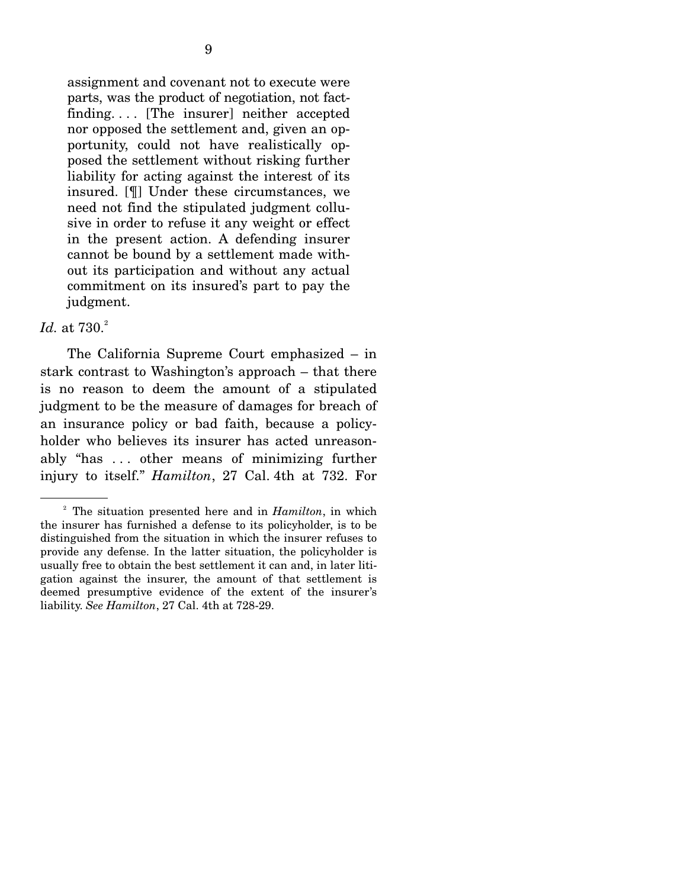assignment and covenant not to execute were parts, was the product of negotiation, not factfinding. . . . [The insurer] neither accepted nor opposed the settlement and, given an opportunity, could not have realistically opposed the settlement without risking further liability for acting against the interest of its insured. [¶] Under these circumstances, we need not find the stipulated judgment collusive in order to refuse it any weight or effect in the present action. A defending insurer cannot be bound by a settlement made without its participation and without any actual commitment on its insured's part to pay the judgment.

### $Id.$  at  $730.^\circ$

 The California Supreme Court emphasized – in stark contrast to Washington's approach – that there is no reason to deem the amount of a stipulated judgment to be the measure of damages for breach of an insurance policy or bad faith, because a policyholder who believes its insurer has acted unreasonably "has . . . other means of minimizing further injury to itself." *Hamilton*, 27 Cal. 4th at 732. For

<sup>2</sup> The situation presented here and in *Hamilton*, in which the insurer has furnished a defense to its policyholder, is to be distinguished from the situation in which the insurer refuses to provide any defense. In the latter situation, the policyholder is usually free to obtain the best settlement it can and, in later litigation against the insurer, the amount of that settlement is deemed presumptive evidence of the extent of the insurer's liability. *See Hamilton*, 27 Cal. 4th at 728-29.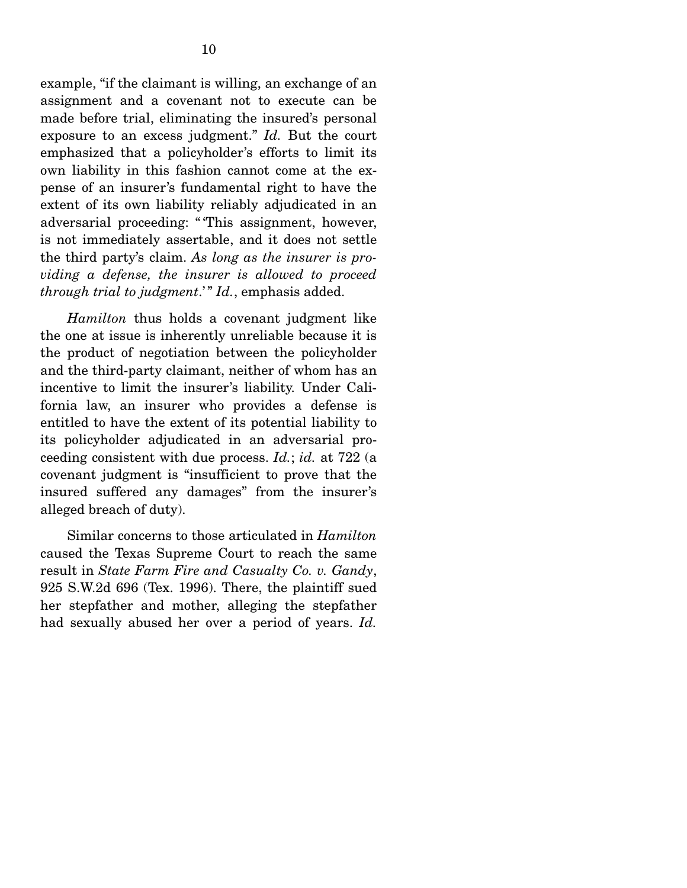example, "if the claimant is willing, an exchange of an assignment and a covenant not to execute can be made before trial, eliminating the insured's personal exposure to an excess judgment." *Id.* But the court emphasized that a policyholder's efforts to limit its own liability in this fashion cannot come at the expense of an insurer's fundamental right to have the extent of its own liability reliably adjudicated in an adversarial proceeding: " 'This assignment, however, is not immediately assertable, and it does not settle the third party's claim. *As long as the insurer is providing a defense, the insurer is allowed to proceed through trial to judgment.*" *Id.*, emphasis added.

*Hamilton* thus holds a covenant judgment like the one at issue is inherently unreliable because it is the product of negotiation between the policyholder and the third-party claimant, neither of whom has an incentive to limit the insurer's liability. Under California law, an insurer who provides a defense is entitled to have the extent of its potential liability to its policyholder adjudicated in an adversarial proceeding consistent with due process. *Id.*; *id.* at 722 (a covenant judgment is "insufficient to prove that the insured suffered any damages" from the insurer's alleged breach of duty).

 Similar concerns to those articulated in *Hamilton* caused the Texas Supreme Court to reach the same result in *State Farm Fire and Casualty Co. v. Gandy*, 925 S.W.2d 696 (Tex. 1996). There, the plaintiff sued her stepfather and mother, alleging the stepfather had sexually abused her over a period of years. *Id.*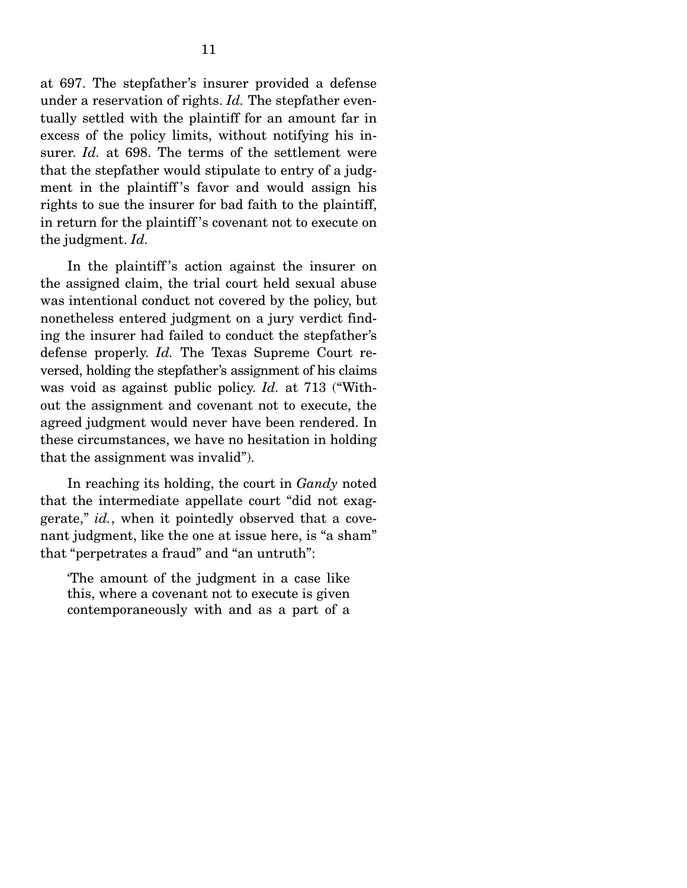at 697. The stepfather's insurer provided a defense under a reservation of rights. *Id.* The stepfather eventually settled with the plaintiff for an amount far in excess of the policy limits, without notifying his insurer. *Id.* at 698. The terms of the settlement were that the stepfather would stipulate to entry of a judgment in the plaintiff 's favor and would assign his rights to sue the insurer for bad faith to the plaintiff, in return for the plaintiff 's covenant not to execute on the judgment. *Id.*

In the plaintiff's action against the insurer on the assigned claim, the trial court held sexual abuse was intentional conduct not covered by the policy, but nonetheless entered judgment on a jury verdict finding the insurer had failed to conduct the stepfather's defense properly. *Id.* The Texas Supreme Court reversed, holding the stepfather's assignment of his claims was void as against public policy. *Id.* at 713 ("Without the assignment and covenant not to execute, the agreed judgment would never have been rendered. In these circumstances, we have no hesitation in holding that the assignment was invalid").

 In reaching its holding, the court in *Gandy* noted that the intermediate appellate court "did not exaggerate," *id.*, when it pointedly observed that a covenant judgment, like the one at issue here, is "a sham" that "perpetrates a fraud" and "an untruth":

'The amount of the judgment in a case like this, where a covenant not to execute is given contemporaneously with and as a part of a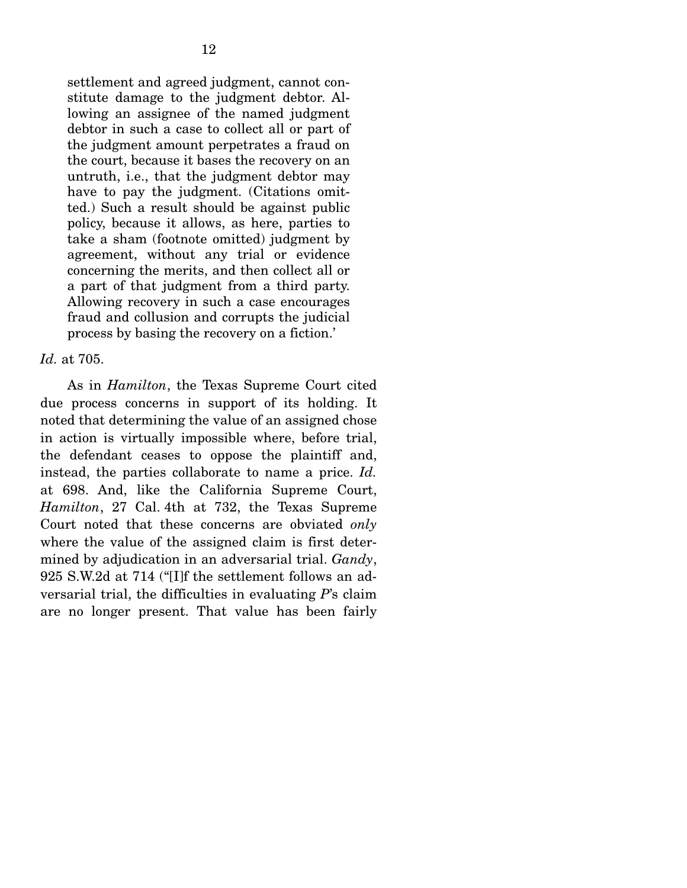settlement and agreed judgment, cannot constitute damage to the judgment debtor. Allowing an assignee of the named judgment debtor in such a case to collect all or part of the judgment amount perpetrates a fraud on the court, because it bases the recovery on an untruth, i.e., that the judgment debtor may have to pay the judgment. (Citations omitted.) Such a result should be against public policy, because it allows, as here, parties to take a sham (footnote omitted) judgment by agreement, without any trial or evidence concerning the merits, and then collect all or a part of that judgment from a third party. Allowing recovery in such a case encourages fraud and collusion and corrupts the judicial process by basing the recovery on a fiction.'

#### *Id.* at 705.

 As in *Hamilton*, the Texas Supreme Court cited due process concerns in support of its holding. It noted that determining the value of an assigned chose in action is virtually impossible where, before trial, the defendant ceases to oppose the plaintiff and, instead, the parties collaborate to name a price. *Id.* at 698. And, like the California Supreme Court, *Hamilton*, 27 Cal. 4th at 732, the Texas Supreme Court noted that these concerns are obviated *only* where the value of the assigned claim is first determined by adjudication in an adversarial trial. *Gandy*, 925 S.W.2d at 714 ("[I]f the settlement follows an adversarial trial, the difficulties in evaluating *P*'s claim are no longer present. That value has been fairly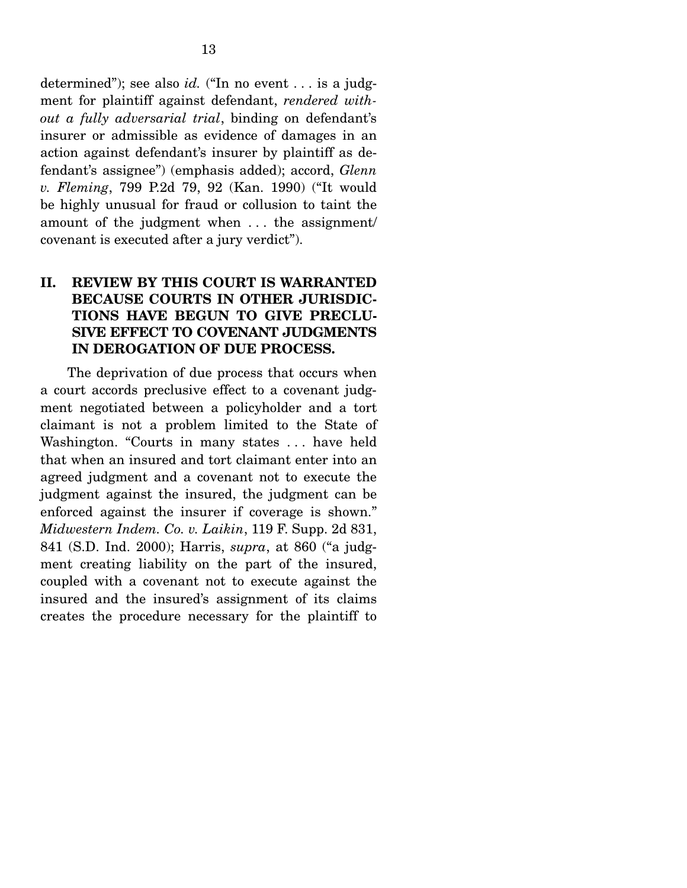determined"); see also *id.* ("In no event . . . is a judgment for plaintiff against defendant, *rendered without a fully adversarial trial*, binding on defendant's insurer or admissible as evidence of damages in an action against defendant's insurer by plaintiff as defendant's assignee") (emphasis added); accord, *Glenn v. Fleming*, 799 P.2d 79, 92 (Kan. 1990) ("It would be highly unusual for fraud or collusion to taint the amount of the judgment when . . . the assignment/ covenant is executed after a jury verdict").

## **II. REVIEW BY THIS COURT IS WARRANTED BECAUSE COURTS IN OTHER JURISDIC-TIONS HAVE BEGUN TO GIVE PRECLU-SIVE EFFECT TO COVENANT JUDGMENTS IN DEROGATION OF DUE PROCESS.**

 The deprivation of due process that occurs when a court accords preclusive effect to a covenant judgment negotiated between a policyholder and a tort claimant is not a problem limited to the State of Washington. "Courts in many states . . . have held that when an insured and tort claimant enter into an agreed judgment and a covenant not to execute the judgment against the insured, the judgment can be enforced against the insurer if coverage is shown." *Midwestern Indem. Co. v. Laikin*, 119 F. Supp. 2d 831, 841 (S.D. Ind. 2000); Harris, *supra*, at 860 ("a judgment creating liability on the part of the insured, coupled with a covenant not to execute against the insured and the insured's assignment of its claims creates the procedure necessary for the plaintiff to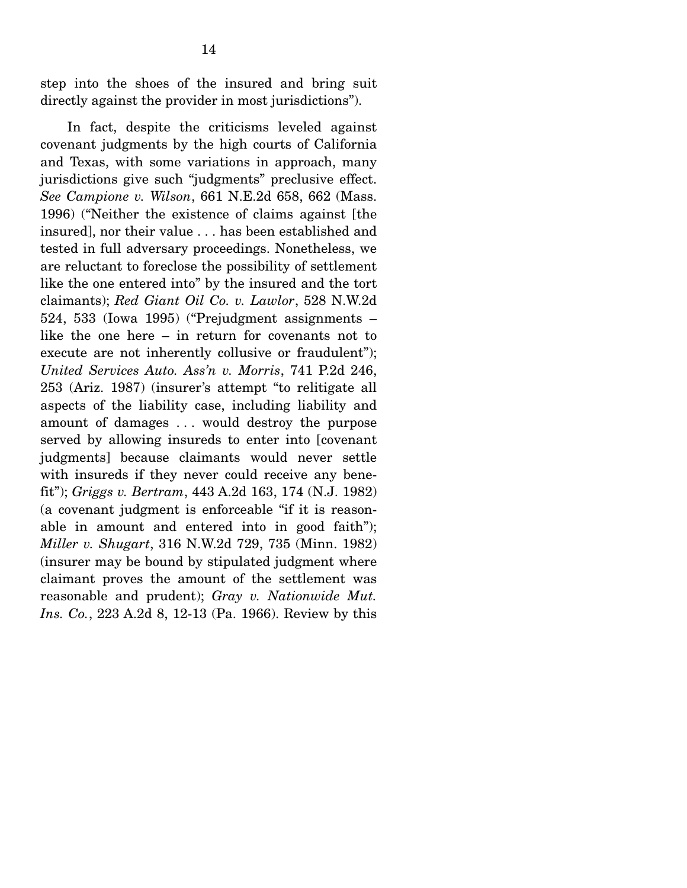step into the shoes of the insured and bring suit directly against the provider in most jurisdictions").

 In fact, despite the criticisms leveled against covenant judgments by the high courts of California and Texas, with some variations in approach, many jurisdictions give such "judgments" preclusive effect. *See Campione v. Wilson*, 661 N.E.2d 658, 662 (Mass. 1996) ("Neither the existence of claims against [the insured], nor their value . . . has been established and tested in full adversary proceedings. Nonetheless, we are reluctant to foreclose the possibility of settlement like the one entered into" by the insured and the tort claimants); *Red Giant Oil Co. v. Lawlor*, 528 N.W.2d 524, 533 (Iowa 1995) ("Prejudgment assignments – like the one here – in return for covenants not to execute are not inherently collusive or fraudulent"); *United Services Auto. Ass'n v. Morris*, 741 P.2d 246, 253 (Ariz. 1987) (insurer's attempt "to relitigate all aspects of the liability case, including liability and amount of damages . . . would destroy the purpose served by allowing insureds to enter into [covenant judgments] because claimants would never settle with insureds if they never could receive any benefit"); *Griggs v. Bertram*, 443 A.2d 163, 174 (N.J. 1982) (a covenant judgment is enforceable "if it is reasonable in amount and entered into in good faith"); *Miller v. Shugart*, 316 N.W.2d 729, 735 (Minn. 1982) (insurer may be bound by stipulated judgment where claimant proves the amount of the settlement was reasonable and prudent); *Gray v. Nationwide Mut. Ins. Co.*, 223 A.2d 8, 12-13 (Pa. 1966). Review by this